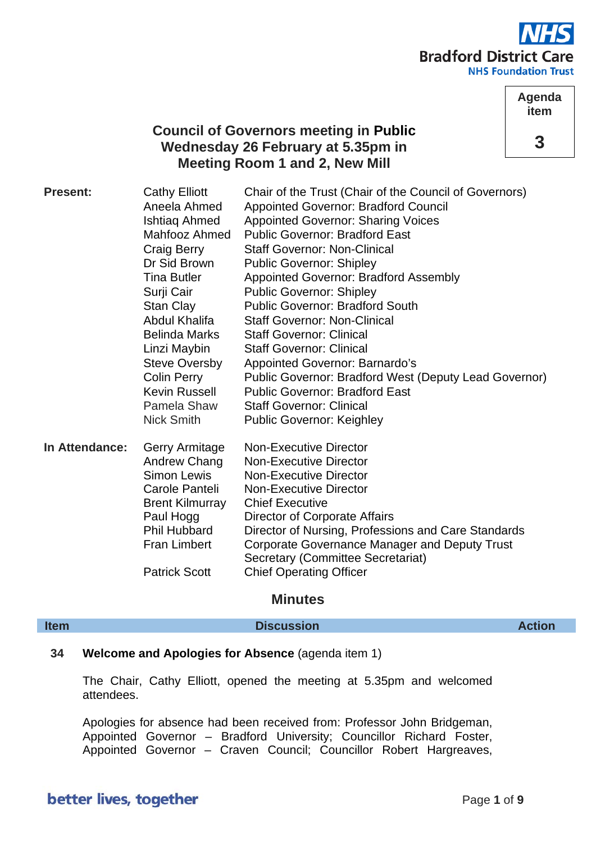

**Agenda item**

**3**

## **Council of Governors meeting in Public Wednesday 26 February at 5.35pm in Meeting Room 1 and 2, New Mill**

| <b>Present:</b> | <b>Cathy Elliott</b><br>Aneela Ahmed<br><b>Ishtiag Ahmed</b><br><b>Mahfooz Ahmed</b><br>Craig Berry<br>Dr Sid Brown<br>Tina Butler<br>Surji Cair<br>Stan Clay<br>Abdul Khalifa<br><b>Belinda Marks</b><br>Linzi Maybin<br><b>Steve Oversby</b><br><b>Colin Perry</b><br><b>Kevin Russell</b><br>Pamela Shaw<br>Nick Smith | Chair of the Trust (Chair of the Council of Governors)<br><b>Appointed Governor: Bradford Council</b><br><b>Appointed Governor: Sharing Voices</b><br><b>Public Governor: Bradford East</b><br><b>Staff Governor: Non-Clinical</b><br><b>Public Governor: Shipley</b><br><b>Appointed Governor: Bradford Assembly</b><br><b>Public Governor: Shipley</b><br><b>Public Governor: Bradford South</b><br><b>Staff Governor: Non-Clinical</b><br><b>Staff Governor: Clinical</b><br><b>Staff Governor: Clinical</b><br><b>Appointed Governor: Barnardo's</b><br>Public Governor: Bradford West (Deputy Lead Governor)<br><b>Public Governor: Bradford East</b><br><b>Staff Governor: Clinical</b><br><b>Public Governor: Keighley</b> |
|-----------------|---------------------------------------------------------------------------------------------------------------------------------------------------------------------------------------------------------------------------------------------------------------------------------------------------------------------------|-----------------------------------------------------------------------------------------------------------------------------------------------------------------------------------------------------------------------------------------------------------------------------------------------------------------------------------------------------------------------------------------------------------------------------------------------------------------------------------------------------------------------------------------------------------------------------------------------------------------------------------------------------------------------------------------------------------------------------------|
| In Attendance:  | <b>Gerry Armitage</b><br>Andrew Chang<br>Simon Lewis<br>Carole Panteli<br><b>Brent Kilmurray</b><br>Paul Hogg<br><b>Phil Hubbard</b><br><b>Fran Limbert</b><br><b>Patrick Scott</b>                                                                                                                                       | <b>Non-Executive Director</b><br><b>Non-Executive Director</b><br><b>Non-Executive Director</b><br><b>Non-Executive Director</b><br><b>Chief Executive</b><br>Director of Corporate Affairs<br>Director of Nursing, Professions and Care Standards<br>Corporate Governance Manager and Deputy Trust<br>Secretary (Committee Secretariat)<br><b>Chief Operating Officer</b>                                                                                                                                                                                                                                                                                                                                                        |

## **Minutes**

**Item Discussion Action**

## **34 Welcome and Apologies for Absence** (agenda item 1)

The Chair, Cathy Elliott, opened the meeting at 5.35pm and welcomed attendees.

Apologies for absence had been received from: Professor John Bridgeman, Appointed Governor – Bradford University; Councillor Richard Foster, Appointed Governor – Craven Council; Councillor Robert Hargreaves,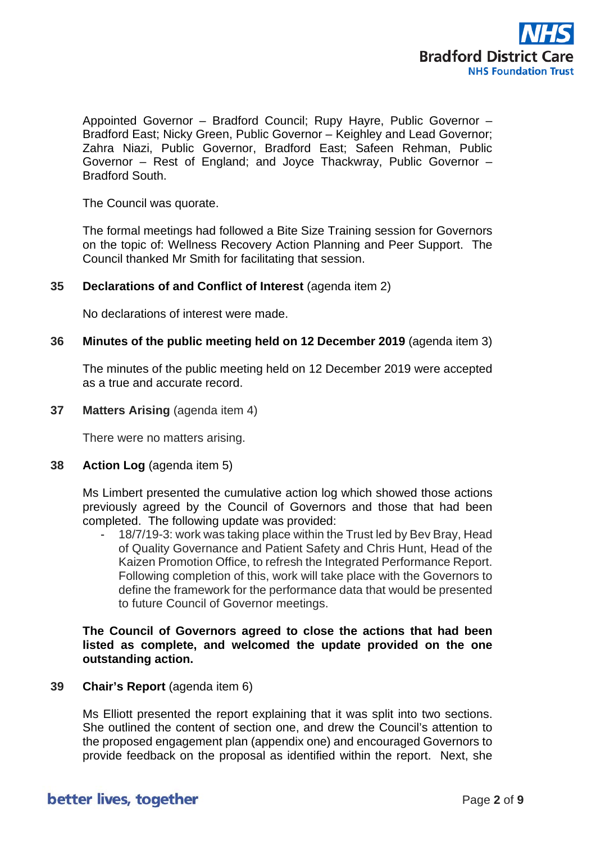

Appointed Governor – Bradford Council; Rupy Hayre, Public Governor – Bradford East; Nicky Green, Public Governor – Keighley and Lead Governor; Zahra Niazi, Public Governor, Bradford East; Safeen Rehman, Public Governor – Rest of England; and Joyce Thackwray, Public Governor – Bradford South.

The Council was quorate.

The formal meetings had followed a Bite Size Training session for Governors on the topic of: Wellness Recovery Action Planning and Peer Support. The Council thanked Mr Smith for facilitating that session.

#### **35 Declarations of and Conflict of Interest** (agenda item 2)

No declarations of interest were made.

#### **36 Minutes of the public meeting held on 12 December 2019** (agenda item 3)

The minutes of the public meeting held on 12 December 2019 were accepted as a true and accurate record.

**37 Matters Arising** (agenda item 4)

There were no matters arising.

**38 Action Log** (agenda item 5)

Ms Limbert presented the cumulative action log which showed those actions previously agreed by the Council of Governors and those that had been completed. The following update was provided:

18/7/19-3: work was taking place within the Trust led by Bev Bray, Head of Quality Governance and Patient Safety and Chris Hunt, Head of the Kaizen Promotion Office, to refresh the Integrated Performance Report. Following completion of this, work will take place with the Governors to define the framework for the performance data that would be presented to future Council of Governor meetings.

#### **The Council of Governors agreed to close the actions that had been listed as complete, and welcomed the update provided on the one outstanding action.**

### **39 Chair's Report** (agenda item 6)

Ms Elliott presented the report explaining that it was split into two sections. She outlined the content of section one, and drew the Council's attention to the proposed engagement plan (appendix one) and encouraged Governors to provide feedback on the proposal as identified within the report. Next, she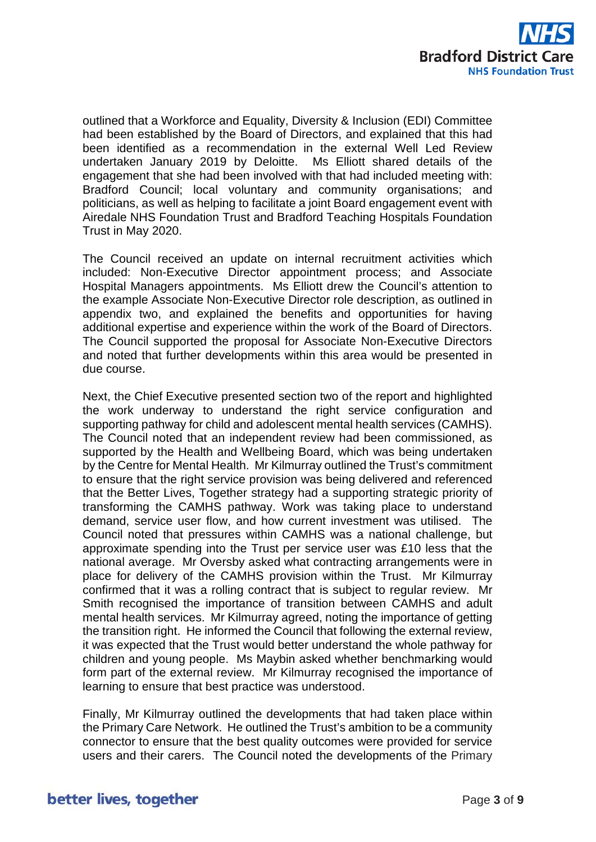

outlined that a Workforce and Equality, Diversity & Inclusion (EDI) Committee had been established by the Board of Directors, and explained that this had been identified as a recommendation in the external Well Led Review undertaken January 2019 by Deloitte. Ms Elliott shared details of the engagement that she had been involved with that had included meeting with: Bradford Council; local voluntary and community organisations; and politicians, as well as helping to facilitate a joint Board engagement event with Airedale NHS Foundation Trust and Bradford Teaching Hospitals Foundation Trust in May 2020.

The Council received an update on internal recruitment activities which included: Non-Executive Director appointment process; and Associate Hospital Managers appointments. Ms Elliott drew the Council's attention to the example Associate Non-Executive Director role description, as outlined in appendix two, and explained the benefits and opportunities for having additional expertise and experience within the work of the Board of Directors. The Council supported the proposal for Associate Non-Executive Directors and noted that further developments within this area would be presented in due course.

Next, the Chief Executive presented section two of the report and highlighted the work underway to understand the right service configuration and supporting pathway for child and adolescent mental health services (CAMHS). The Council noted that an independent review had been commissioned, as supported by the Health and Wellbeing Board, which was being undertaken by the Centre for Mental Health. Mr Kilmurray outlined the Trust's commitment to ensure that the right service provision was being delivered and referenced that the Better Lives, Together strategy had a supporting strategic priority of transforming the CAMHS pathway. Work was taking place to understand demand, service user flow, and how current investment was utilised. The Council noted that pressures within CAMHS was a national challenge, but approximate spending into the Trust per service user was £10 less that the national average. Mr Oversby asked what contracting arrangements were in place for delivery of the CAMHS provision within the Trust. Mr Kilmurray confirmed that it was a rolling contract that is subject to regular review. Mr Smith recognised the importance of transition between CAMHS and adult mental health services. Mr Kilmurray agreed, noting the importance of getting the transition right. He informed the Council that following the external review, it was expected that the Trust would better understand the whole pathway for children and young people. Ms Maybin asked whether benchmarking would form part of the external review. Mr Kilmurray recognised the importance of learning to ensure that best practice was understood.

Finally, Mr Kilmurray outlined the developments that had taken place within the Primary Care Network. He outlined the Trust's ambition to be a community connector to ensure that the best quality outcomes were provided for service users and their carers. The Council noted the developments of the Primary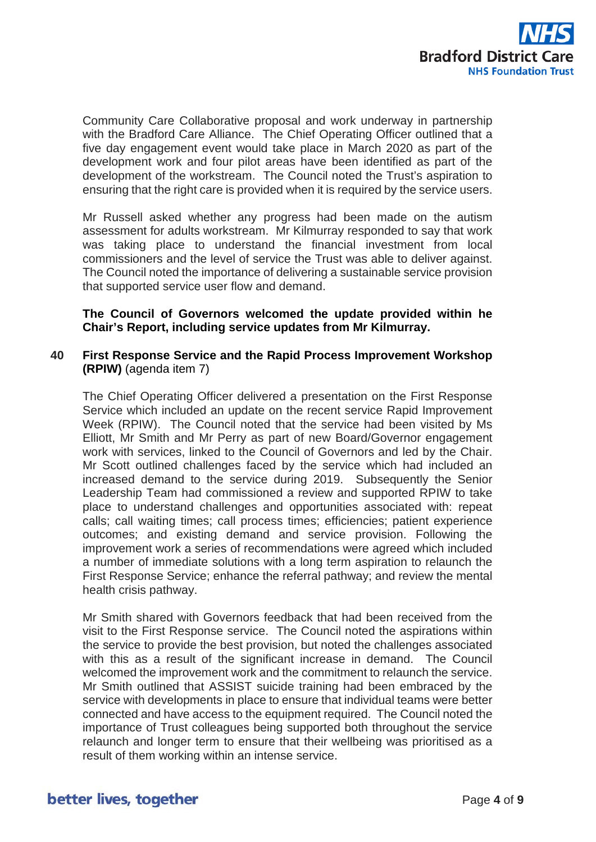

Community Care Collaborative proposal and work underway in partnership with the Bradford Care Alliance. The Chief Operating Officer outlined that a five day engagement event would take place in March 2020 as part of the development work and four pilot areas have been identified as part of the development of the workstream. The Council noted the Trust's aspiration to ensuring that the right care is provided when it is required by the service users.

Mr Russell asked whether any progress had been made on the autism assessment for adults workstream. Mr Kilmurray responded to say that work was taking place to understand the financial investment from local commissioners and the level of service the Trust was able to deliver against. The Council noted the importance of delivering a sustainable service provision that supported service user flow and demand.

#### **The Council of Governors welcomed the update provided within he Chair's Report, including service updates from Mr Kilmurray.**

#### **40 First Response Service and the Rapid Process Improvement Workshop (RPIW)** (agenda item 7)

The Chief Operating Officer delivered a presentation on the First Response Service which included an update on the recent service Rapid Improvement Week (RPIW). The Council noted that the service had been visited by Ms Elliott, Mr Smith and Mr Perry as part of new Board/Governor engagement work with services, linked to the Council of Governors and led by the Chair. Mr Scott outlined challenges faced by the service which had included an increased demand to the service during 2019. Subsequently the Senior Leadership Team had commissioned a review and supported RPIW to take place to understand challenges and opportunities associated with: repeat calls; call waiting times; call process times; efficiencies; patient experience outcomes; and existing demand and service provision. Following the improvement work a series of recommendations were agreed which included a number of immediate solutions with a long term aspiration to relaunch the First Response Service; enhance the referral pathway; and review the mental health crisis pathway.

Mr Smith shared with Governors feedback that had been received from the visit to the First Response service. The Council noted the aspirations within the service to provide the best provision, but noted the challenges associated with this as a result of the significant increase in demand. The Council welcomed the improvement work and the commitment to relaunch the service. Mr Smith outlined that ASSIST suicide training had been embraced by the service with developments in place to ensure that individual teams were better connected and have access to the equipment required. The Council noted the importance of Trust colleagues being supported both throughout the service relaunch and longer term to ensure that their wellbeing was prioritised as a result of them working within an intense service.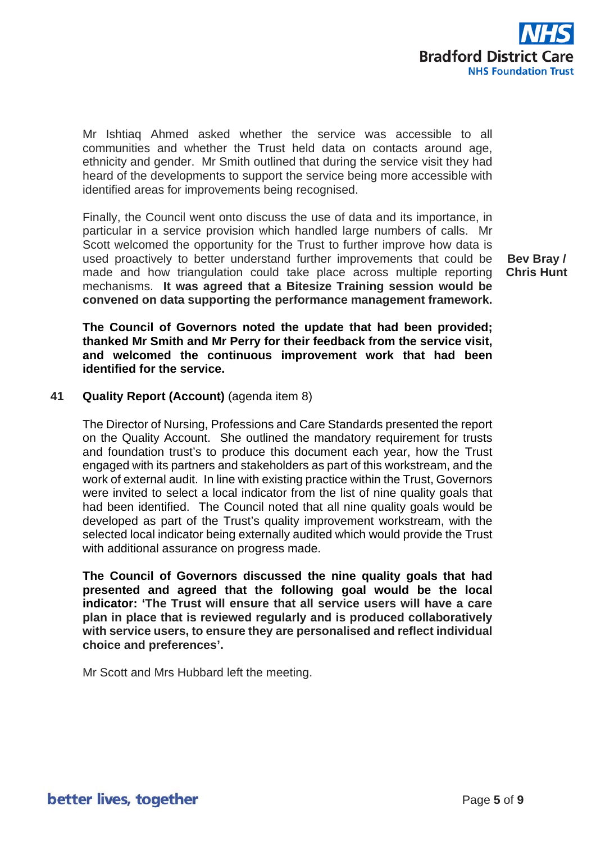

Mr Ishtiaq Ahmed asked whether the service was accessible to all communities and whether the Trust held data on contacts around age, ethnicity and gender. Mr Smith outlined that during the service visit they had heard of the developments to support the service being more accessible with identified areas for improvements being recognised.

Finally, the Council went onto discuss the use of data and its importance, in particular in a service provision which handled large numbers of calls. Mr Scott welcomed the opportunity for the Trust to further improve how data is used proactively to better understand further improvements that could be made and how triangulation could take place across multiple reporting mechanisms. **It was agreed that a Bitesize Training session would be convened on data supporting the performance management framework.**

**Bev Bray / Chris Hunt**

**The Council of Governors noted the update that had been provided; thanked Mr Smith and Mr Perry for their feedback from the service visit, and welcomed the continuous improvement work that had been identified for the service.**

#### **41 Quality Report (Account)** (agenda item 8)

The Director of Nursing, Professions and Care Standards presented the report on the Quality Account. She outlined the mandatory requirement for trusts and foundation trust's to produce this document each year, how the Trust engaged with its partners and stakeholders as part of this workstream, and the work of external audit. In line with existing practice within the Trust, Governors were invited to select a local indicator from the list of nine quality goals that had been identified. The Council noted that all nine quality goals would be developed as part of the Trust's quality improvement workstream, with the selected local indicator being externally audited which would provide the Trust with additional assurance on progress made.

**The Council of Governors discussed the nine quality goals that had presented and agreed that the following goal would be the local indicator: 'The Trust will ensure that all service users will have a care plan in place that is reviewed regularly and is produced collaboratively with service users, to ensure they are personalised and reflect individual choice and preferences'.**

Mr Scott and Mrs Hubbard left the meeting.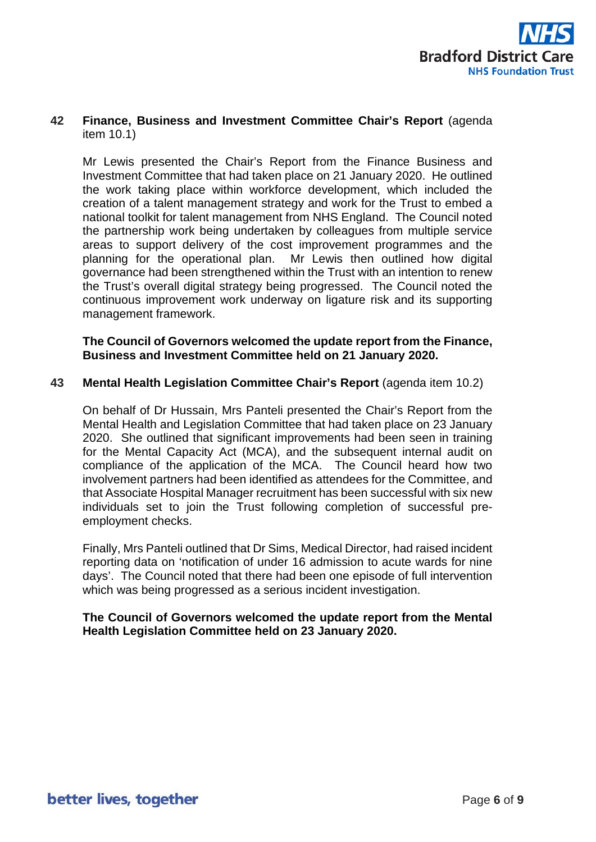

### **42 Finance, Business and Investment Committee Chair's Report** (agenda item 10.1)

Mr Lewis presented the Chair's Report from the Finance Business and Investment Committee that had taken place on 21 January 2020. He outlined the work taking place within workforce development, which included the creation of a talent management strategy and work for the Trust to embed a national toolkit for talent management from NHS England. The Council noted the partnership work being undertaken by colleagues from multiple service areas to support delivery of the cost improvement programmes and the planning for the operational plan. Mr Lewis then outlined how digital governance had been strengthened within the Trust with an intention to renew the Trust's overall digital strategy being progressed. The Council noted the continuous improvement work underway on ligature risk and its supporting management framework.

**The Council of Governors welcomed the update report from the Finance, Business and Investment Committee held on 21 January 2020.**

#### **43 Mental Health Legislation Committee Chair's Report** (agenda item 10.2)

On behalf of Dr Hussain, Mrs Panteli presented the Chair's Report from the Mental Health and Legislation Committee that had taken place on 23 January 2020. She outlined that significant improvements had been seen in training for the Mental Capacity Act (MCA), and the subsequent internal audit on compliance of the application of the MCA. The Council heard how two involvement partners had been identified as attendees for the Committee, and that Associate Hospital Manager recruitment has been successful with six new individuals set to join the Trust following completion of successful preemployment checks.

Finally, Mrs Panteli outlined that Dr Sims, Medical Director, had raised incident reporting data on 'notification of under 16 admission to acute wards for nine days'. The Council noted that there had been one episode of full intervention which was being progressed as a serious incident investigation.

#### **The Council of Governors welcomed the update report from the Mental Health Legislation Committee held on 23 January 2020.**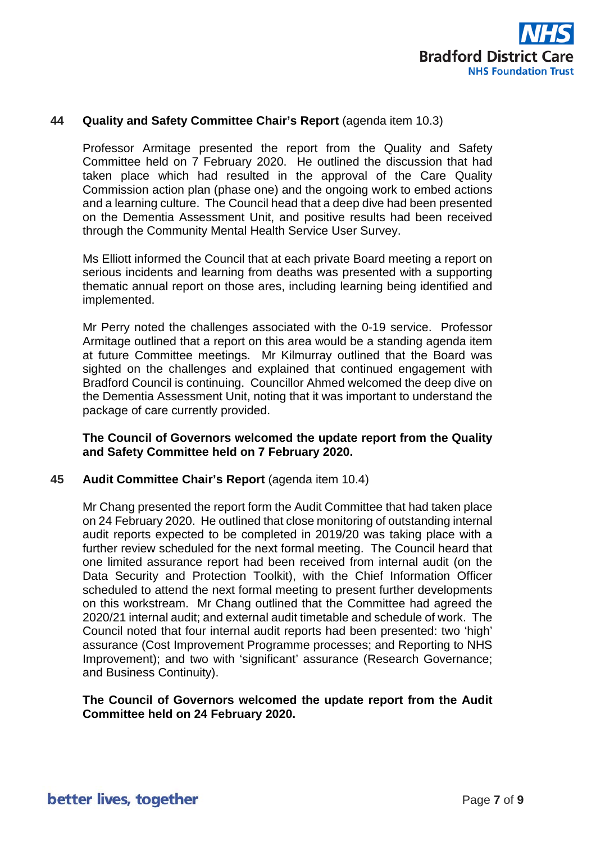

#### **44 Quality and Safety Committee Chair's Report** (agenda item 10.3)

Professor Armitage presented the report from the Quality and Safety Committee held on 7 February 2020. He outlined the discussion that had taken place which had resulted in the approval of the Care Quality Commission action plan (phase one) and the ongoing work to embed actions and a learning culture. The Council head that a deep dive had been presented on the Dementia Assessment Unit, and positive results had been received through the Community Mental Health Service User Survey.

Ms Elliott informed the Council that at each private Board meeting a report on serious incidents and learning from deaths was presented with a supporting thematic annual report on those ares, including learning being identified and implemented.

Mr Perry noted the challenges associated with the 0-19 service. Professor Armitage outlined that a report on this area would be a standing agenda item at future Committee meetings. Mr Kilmurray outlined that the Board was sighted on the challenges and explained that continued engagement with Bradford Council is continuing. Councillor Ahmed welcomed the deep dive on the Dementia Assessment Unit, noting that it was important to understand the package of care currently provided.

#### **The Council of Governors welcomed the update report from the Quality and Safety Committee held on 7 February 2020.**

#### **45 Audit Committee Chair's Report** (agenda item 10.4)

Mr Chang presented the report form the Audit Committee that had taken place on 24 February 2020. He outlined that close monitoring of outstanding internal audit reports expected to be completed in 2019/20 was taking place with a further review scheduled for the next formal meeting. The Council heard that one limited assurance report had been received from internal audit (on the Data Security and Protection Toolkit), with the Chief Information Officer scheduled to attend the next formal meeting to present further developments on this workstream. Mr Chang outlined that the Committee had agreed the 2020/21 internal audit; and external audit timetable and schedule of work. The Council noted that four internal audit reports had been presented: two 'high' assurance (Cost Improvement Programme processes; and Reporting to NHS Improvement); and two with 'significant' assurance (Research Governance; and Business Continuity).

#### **The Council of Governors welcomed the update report from the Audit Committee held on 24 February 2020.**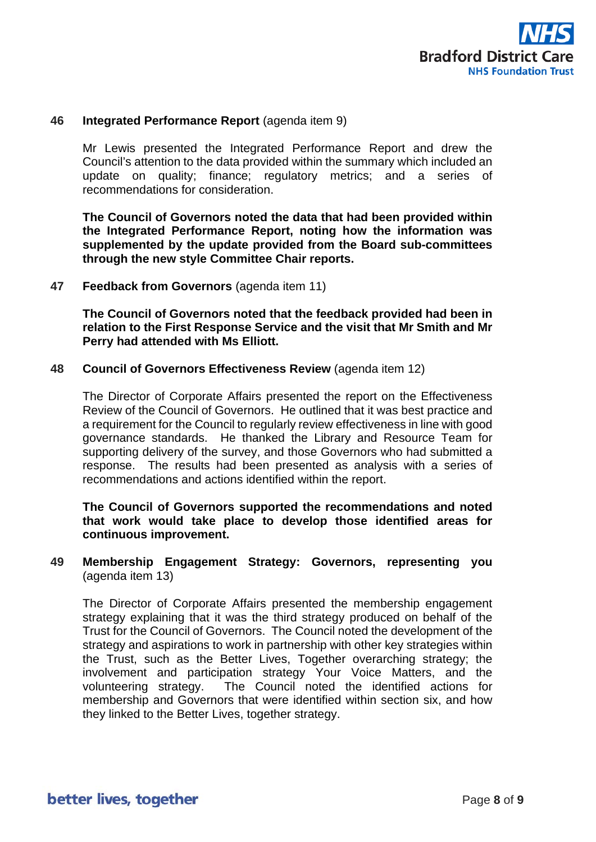

#### **46 Integrated Performance Report** (agenda item 9)

Mr Lewis presented the Integrated Performance Report and drew the Council's attention to the data provided within the summary which included an update on quality; finance; regulatory metrics; and a series of recommendations for consideration.

**The Council of Governors noted the data that had been provided within the Integrated Performance Report, noting how the information was supplemented by the update provided from the Board sub-committees through the new style Committee Chair reports.**

#### **47 Feedback from Governors** (agenda item 11)

**The Council of Governors noted that the feedback provided had been in relation to the First Response Service and the visit that Mr Smith and Mr Perry had attended with Ms Elliott.**

#### **48 Council of Governors Effectiveness Review** (agenda item 12)

The Director of Corporate Affairs presented the report on the Effectiveness Review of the Council of Governors. He outlined that it was best practice and a requirement for the Council to regularly review effectiveness in line with good governance standards. He thanked the Library and Resource Team for supporting delivery of the survey, and those Governors who had submitted a response. The results had been presented as analysis with a series of recommendations and actions identified within the report.

**The Council of Governors supported the recommendations and noted that work would take place to develop those identified areas for continuous improvement.**

#### **49 Membership Engagement Strategy: Governors, representing you**  (agenda item 13)

The Director of Corporate Affairs presented the membership engagement strategy explaining that it was the third strategy produced on behalf of the Trust for the Council of Governors. The Council noted the development of the strategy and aspirations to work in partnership with other key strategies within the Trust, such as the Better Lives, Together overarching strategy; the involvement and participation strategy Your Voice Matters, and the volunteering strategy. The Council noted the identified actions for membership and Governors that were identified within section six, and how they linked to the Better Lives, together strategy.